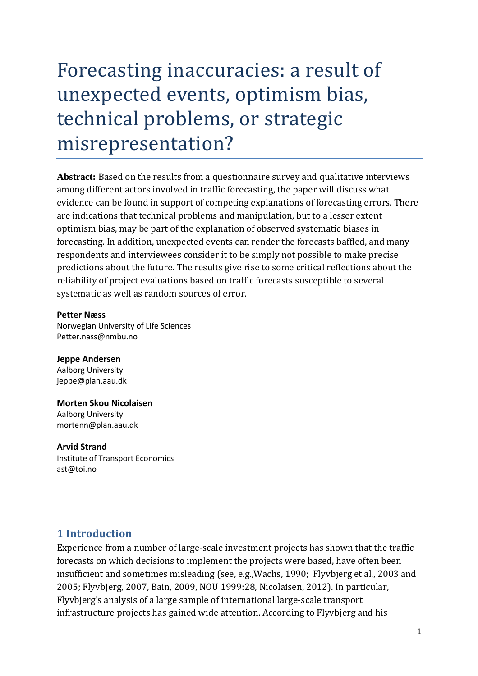# Forecasting inaccuracies: a result of unexpected events, optimism bias, technical problems, or strategic misrepresentation?

**Abstract:** Based on the results from a questionnaire survey and qualitative interviews among different actors involved in traffic forecasting, the paper will discuss what evidence can be found in support of competing explanations of forecasting errors. There are indications that technical problems and manipulation, but to a lesser extent optimism bias, may be part of the explanation of observed systematic biases in forecasting. In addition, unexpected events can render the forecasts baffled, and many respondents and interviewees consider it to be simply not possible to make precise predictions about the future. The results give rise to some critical reflections about the reliability of project evaluations based on traffic forecasts susceptible to several systematic as well as random sources of error.

**Petter Næss** Norwegian University of Life Sciences Petter.nass@nmbu.no

**Jeppe Andersen** Aalborg University jeppe@plan.aau.dk

**Morten Skou Nicolaisen** Aalborg University mortenn@plan.aau.dk

**Arvid Strand** Institute of Transport Economics ast@toi.no

# **1 Introduction**

Experience from a number of large-scale investment projects has shown that the traffic forecasts on which decisions to implement the projects were based, have often been insufficient and sometimes misleading (see, e.g., Wachs, 1990; Flyvbjerg et al., 2003 and 2005; Flyvbjerg, 2007, Bain, 2009, NOU 1999:28, Nicolaisen, 2012). In particular, Flyvbjerg's analysis of a large sample of international large-scale transport infrastructure projects has gained wide attention. According to Flyvbjerg and his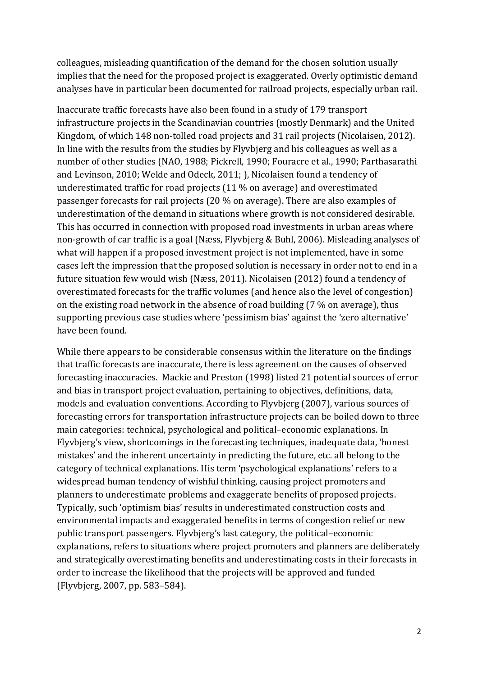colleagues, misleading quantification of the demand for the chosen solution usually implies that the need for the proposed project is exaggerated. Overly optimistic demand analyses have in particular been documented for railroad projects, especially urban rail.

Inaccurate traffic forecasts have also been found in a study of 179 transport infrastructure projects in the Scandinavian countries (mostly Denmark) and the United Kingdom, of which 148 non-tolled road projects and 31 rail projects (Nicolaisen, 2012). In line with the results from the studies by Flyvbjerg and his colleagues as well as a number of other studies (NAO, 1988; Pickrell, 1990; Fouracre et al., 1990; Parthasarathi and Levinson, 2010; Welde and Odeck, 2011; ), Nicolaisen found a tendency of underestimated traffic for road projects  $(11 %$  on average) and overestimated passenger forecasts for rail projects  $(20\%$  on average). There are also examples of underestimation of the demand in situations where growth is not considered desirable. This has occurred in connection with proposed road investments in urban areas where non-growth of car traffic is a goal (Næss, Flyvbjerg & Buhl, 2006). Misleading analyses of what will happen if a proposed investment project is not implemented, have in some cases left the impression that the proposed solution is necessary in order not to end in a future situation few would wish (Næss, 2011). Nicolaisen (2012) found a tendency of overestimated forecasts for the traffic volumes (and hence also the level of congestion) on the existing road network in the absence of road building  $(7\%$  on average), thus supporting previous case studies where 'pessimism bias' against the 'zero alternative' have been found.

While there appears to be considerable consensus within the literature on the findings that traffic forecasts are inaccurate, there is less agreement on the causes of observed forecasting inaccuracies. Mackie and Preston (1998) listed 21 potential sources of error and bias in transport project evaluation, pertaining to objectives, definitions, data, models and evaluation conventions. According to Flyvbjerg (2007), various sources of forecasting errors for transportation infrastructure projects can be boiled down to three main categories: technical, psychological and political-economic explanations. In Flyvbjerg's view, shortcomings in the forecasting techniques, inadequate data, 'honest mistakes' and the inherent uncertainty in predicting the future, etc. all belong to the category of technical explanations. His term 'psychological explanations' refers to a widespread human tendency of wishful thinking, causing project promoters and planners to underestimate problems and exaggerate benefits of proposed projects. Typically, such 'optimism bias' results in underestimated construction costs and environmental impacts and exaggerated benefits in terms of congestion relief or new public transport passengers. Flyvbjerg's last category, the political–economic explanations, refers to situations where project promoters and planners are deliberately and strategically overestimating benefits and underestimating costs in their forecasts in order to increase the likelihood that the projects will be approved and funded (Flyvbjerg, 2007, pp. 583-584).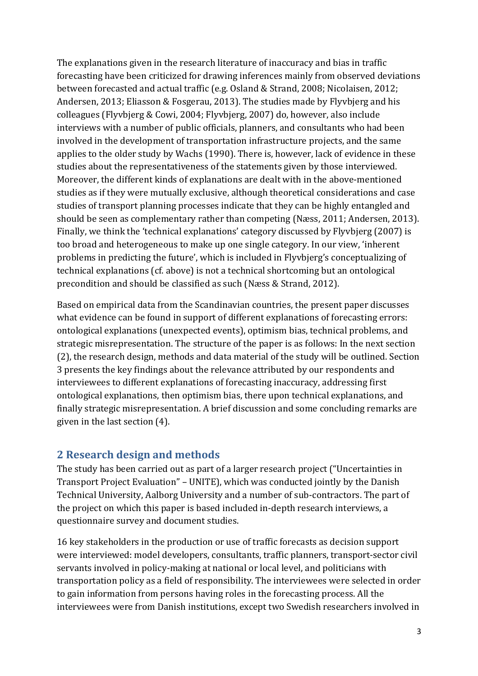The explanations given in the research literature of inaccuracy and bias in traffic forecasting have been criticized for drawing inferences mainly from observed deviations between forecasted and actual traffic (e.g. Osland & Strand, 2008; Nicolaisen, 2012; Andersen, 2013; Eliasson & Fosgerau, 2013). The studies made by Flyvbjerg and his colleagues (Flyvbjerg & Cowi, 2004; Flyvbjerg, 2007) do, however, also include interviews with a number of public officials, planners, and consultants who had been involved in the development of transportation infrastructure projects, and the same applies to the older study by Wachs (1990). There is, however, lack of evidence in these studies about the representativeness of the statements given by those interviewed. Moreover, the different kinds of explanations are dealt with in the above-mentioned studies as if they were mutually exclusive, although theoretical considerations and case studies of transport planning processes indicate that they can be highly entangled and should be seen as complementary rather than competing (Næss, 2011; Andersen, 2013). Finally, we think the 'technical explanations' category discussed by Flyvbjerg (2007) is too broad and heterogeneous to make up one single category. In our view, 'inherent problems in predicting the future', which is included in Flyvbjerg's conceptualizing of technical explanations (cf. above) is not a technical shortcoming but an ontological precondition and should be classified as such (Næss & Strand, 2012).

Based on empirical data from the Scandinavian countries, the present paper discusses what evidence can be found in support of different explanations of forecasting errors: ontological explanations (unexpected events), optimism bias, technical problems, and strategic misrepresentation. The structure of the paper is as follows: In the next section (2), the research design, methods and data material of the study will be outlined. Section 3 presents the key findings about the relevance attributed by our respondents and interviewees to different explanations of forecasting inaccuracy, addressing first ontological explanations, then optimism bias, there upon technical explanations, and finally strategic misrepresentation. A brief discussion and some concluding remarks are given in the last section  $(4)$ .

## **2 Research design and methods**

The study has been carried out as part of a larger research project ("Uncertainties in Transport Project Evaluation" - UNITE), which was conducted jointly by the Danish Technical University, Aalborg University and a number of sub-contractors. The part of the project on which this paper is based included in-depth research interviews, a questionnaire survey and document studies.

16 key stakeholders in the production or use of traffic forecasts as decision support were interviewed: model developers, consultants, traffic planners, transport-sector civil servants involved in policy-making at national or local level, and politicians with transportation policy as a field of responsibility. The interviewees were selected in order to gain information from persons having roles in the forecasting process. All the interviewees were from Danish institutions, except two Swedish researchers involved in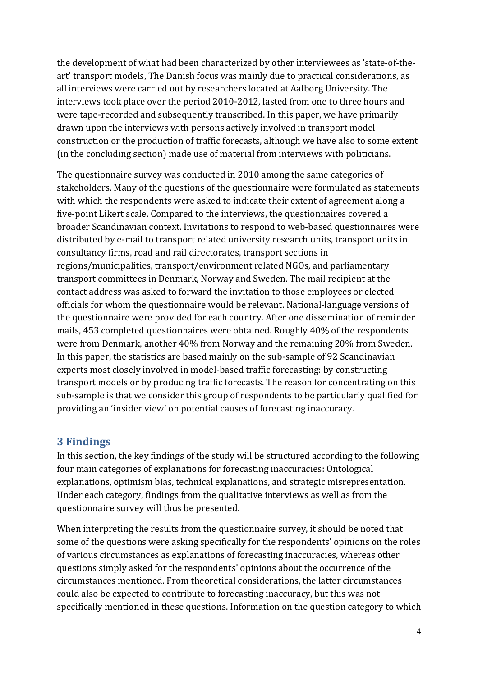the development of what had been characterized by other interviewees as 'state-of-theart' transport models, The Danish focus was mainly due to practical considerations, as all interviews were carried out by researchers located at Aalborg University. The interviews took place over the period 2010-2012, lasted from one to three hours and were tape-recorded and subsequently transcribed. In this paper, we have primarily drawn upon the interviews with persons actively involved in transport model construction or the production of traffic forecasts, although we have also to some extent (in the concluding section) made use of material from interviews with politicians.

The questionnaire survey was conducted in 2010 among the same categories of stakeholders. Many of the questions of the questionnaire were formulated as statements with which the respondents were asked to indicate their extent of agreement along a five-point Likert scale. Compared to the interviews, the questionnaires covered a broader Scandinavian context. Invitations to respond to web-based questionnaires were distributed by e-mail to transport related university research units, transport units in consultancy firms, road and rail directorates, transport sections in regions/municipalities, transport/environment related NGOs, and parliamentary transport committees in Denmark, Norway and Sweden. The mail recipient at the contact address was asked to forward the invitation to those employees or elected officials for whom the questionnaire would be relevant. National-language versions of the questionnaire were provided for each country. After one dissemination of reminder mails, 453 completed questionnaires were obtained. Roughly 40% of the respondents were from Denmark, another 40% from Norway and the remaining 20% from Sweden. In this paper, the statistics are based mainly on the sub-sample of 92 Scandinavian experts most closely involved in model-based traffic forecasting: by constructing transport models or by producing traffic forecasts. The reason for concentrating on this sub-sample is that we consider this group of respondents to be particularly qualified for providing an 'insider view' on potential causes of forecasting inaccuracy.

## **3 Findings**

In this section, the key findings of the study will be structured according to the following four main categories of explanations for forecasting inaccuracies: Ontological explanations, optimism bias, technical explanations, and strategic misrepresentation. Under each category, findings from the qualitative interviews as well as from the questionnaire survey will thus be presented.

When interpreting the results from the questionnaire survey, it should be noted that some of the questions were asking specifically for the respondents' opinions on the roles of various circumstances as explanations of forecasting inaccuracies, whereas other questions simply asked for the respondents' opinions about the occurrence of the circumstances mentioned. From theoretical considerations, the latter circumstances could also be expected to contribute to forecasting inaccuracy, but this was not specifically mentioned in these questions. Information on the question category to which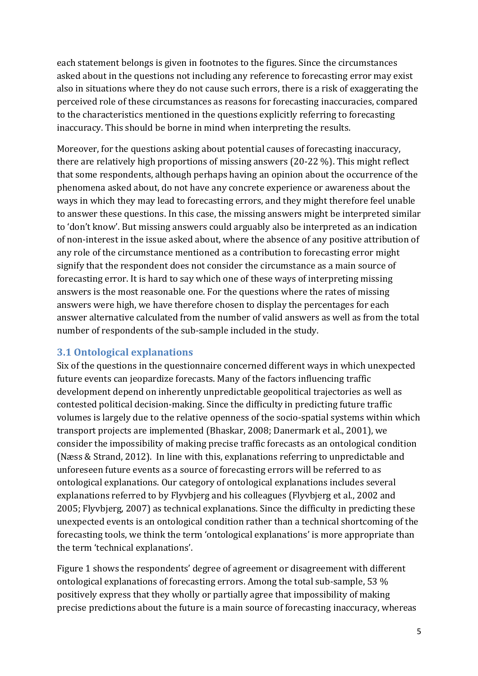each statement belongs is given in footnotes to the figures. Since the circumstances asked about in the questions not including any reference to forecasting error may exist also in situations where they do not cause such errors, there is a risk of exaggerating the perceived role of these circumstances as reasons for forecasting inaccuracies, compared to the characteristics mentioned in the questions explicitly referring to forecasting inaccuracy. This should be borne in mind when interpreting the results.

Moreover, for the questions asking about potential causes of forecasting inaccuracy. there are relatively high proportions of missing answers  $(20-22\%)$ . This might reflect that some respondents, although perhaps having an opinion about the occurrence of the phenomena asked about, do not have any concrete experience or awareness about the ways in which they may lead to forecasting errors, and they might therefore feel unable to answer these questions. In this case, the missing answers might be interpreted similar to 'don't know'. But missing answers could arguably also be interpreted as an indication of non-interest in the issue asked about, where the absence of any positive attribution of any role of the circumstance mentioned as a contribution to forecasting error might signify that the respondent does not consider the circumstance as a main source of forecasting error. It is hard to say which one of these ways of interpreting missing answers is the most reasonable one. For the questions where the rates of missing answers were high, we have therefore chosen to display the percentages for each answer alternative calculated from the number of valid answers as well as from the total number of respondents of the sub-sample included in the study.

## **3.1 Ontological explanations**

Six of the questions in the questionnaire concerned different ways in which unexpected future events can jeopardize forecasts. Many of the factors influencing traffic development depend on inherently unpredictable geopolitical trajectories as well as contested political decision-making. Since the difficulty in predicting future traffic volumes is largely due to the relative openness of the socio-spatial systems within which transport projects are implemented (Bhaskar, 2008; Danermark et al., 2001), we consider the impossibility of making precise traffic forecasts as an ontological condition (Næss & Strand, 2012). In line with this, explanations referring to unpredictable and unforeseen future events as a source of forecasting errors will be referred to as ontological explanations. Our category of ontological explanations includes several explanations referred to by Flyvbjerg and his colleagues (Flyvbjerg et al., 2002 and 2005; Flyvbjerg, 2007) as technical explanations. Since the difficulty in predicting these unexpected events is an ontological condition rather than a technical shortcoming of the forecasting tools, we think the term 'ontological explanations' is more appropriate than the term 'technical explanations'.

Figure 1 shows the respondents' degree of agreement or disagreement with different ontological explanations of forecasting errors. Among the total sub-sample, 53  $\%$ positively express that they wholly or partially agree that impossibility of making precise predictions about the future is a main source of forecasting inaccuracy, whereas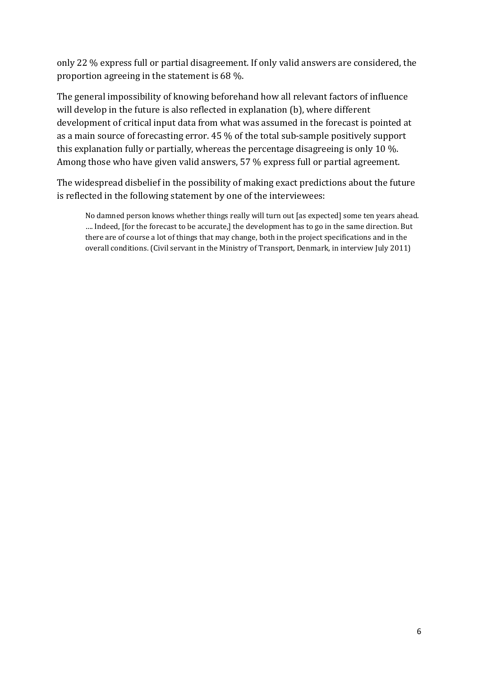only 22 % express full or partial disagreement. If only valid answers are considered, the proportion agreeing in the statement is  $68\%$ .

The general impossibility of knowing beforehand how all relevant factors of influence will develop in the future is also reflected in explanation (b), where different development of critical input data from what was assumed in the forecast is pointed at as a main source of forecasting error.  $45\%$  of the total sub-sample positively support this explanation fully or partially, whereas the percentage disagreeing is only 10  $\%$ . Among those who have given valid answers, 57 % express full or partial agreement.

The widespread disbelief in the possibility of making exact predictions about the future is reflected in the following statement by one of the interviewees:

No damned person knows whether things really will turn out [as expected] some ten years ahead. .... Indeed, [for the forecast to be accurate,] the development has to go in the same direction. But there are of course a lot of things that may change, both in the project specifications and in the overall conditions. (Civil servant in the Ministry of Transport, Denmark, in interview July 2011)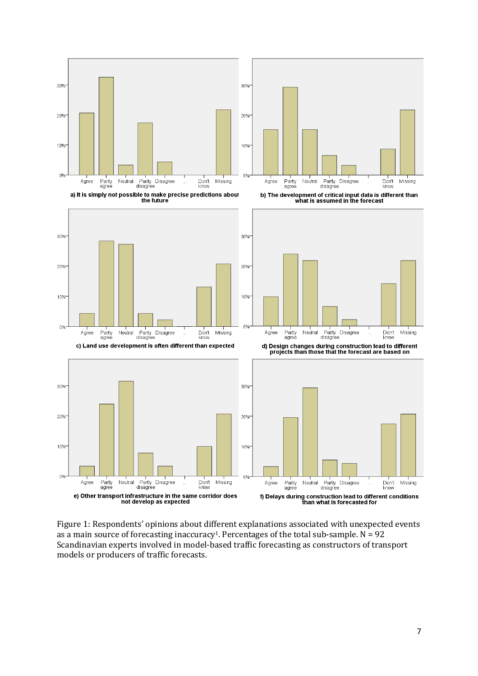

Figure 1: Respondents' opinions about different explanations associated with unexpected events as a main source of forecasting inaccuracy<sup>1</sup>. Percentages of the total sub-sample.  $N = 92$ Scandinavian experts involved in model-based traffic forecasting as constructors of transport models or producers of traffic forecasts.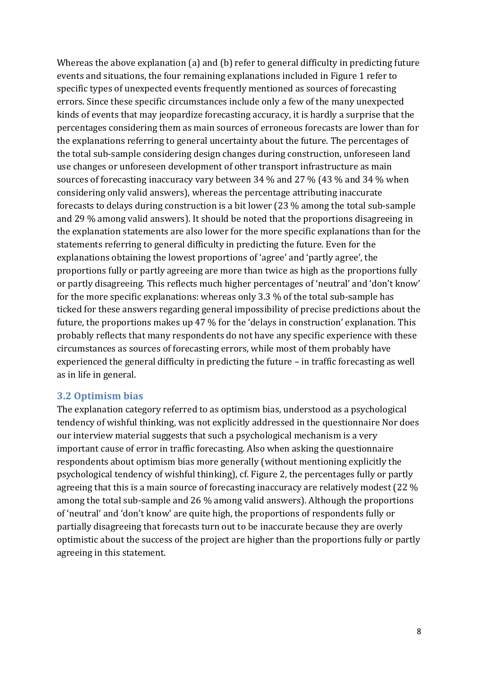Whereas the above explanation  $(a)$  and  $(b)$  refer to general difficulty in predicting future events and situations, the four remaining explanations included in Figure 1 refer to specific types of unexpected events frequently mentioned as sources of forecasting errors. Since these specific circumstances include only a few of the many unexpected kinds of events that may jeopardize forecasting accuracy, it is hardly a surprise that the percentages considering them as main sources of erroneous forecasts are lower than for the explanations referring to general uncertainty about the future. The percentages of the total sub-sample considering design changes during construction, unforeseen land use changes or unforeseen development of other transport infrastructure as main sources of forecasting inaccuracy vary between  $34\%$  and  $27\%$  (43 $\%$  and  $34\%$  when considering only valid answers), whereas the percentage attributing inaccurate forecasts to delays during construction is a bit lower  $(23\%$  among the total sub-sample and 29  $%$  among valid answers). It should be noted that the proportions disagreeing in the explanation statements are also lower for the more specific explanations than for the statements referring to general difficulty in predicting the future. Even for the explanations obtaining the lowest proportions of 'agree' and 'partly agree', the proportions fully or partly agreeing are more than twice as high as the proportions fully or partly disagreeing. This reflects much higher percentages of 'neutral' and 'don't know' for the more specific explanations: whereas only  $3.3\%$  of the total sub-sample has ticked for these answers regarding general impossibility of precise predictions about the future, the proportions makes up 47 % for the 'delays in construction' explanation. This probably reflects that many respondents do not have any specific experience with these circumstances as sources of forecasting errors, while most of them probably have experienced the general difficulty in predicting the future  $-$  in traffic forecasting as well as in life in general.

## **3.2 Optimism bias**

The explanation category referred to as optimism bias, understood as a psychological tendency of wishful thinking, was not explicitly addressed in the questionnaire Nor does our interview material suggests that such a psychological mechanism is a very important cause of error in traffic forecasting. Also when asking the questionnaire respondents about optimism bias more generally (without mentioning explicitly the psychological tendency of wishful thinking), cf. Figure 2, the percentages fully or partly agreeing that this is a main source of forecasting inaccuracy are relatively modest (22  $\%$ ) among the total sub-sample and  $26\%$  among valid answers). Although the proportions of 'neutral' and 'don't know' are quite high, the proportions of respondents fully or partially disagreeing that forecasts turn out to be inaccurate because they are overly optimistic about the success of the project are higher than the proportions fully or partly agreeing in this statement.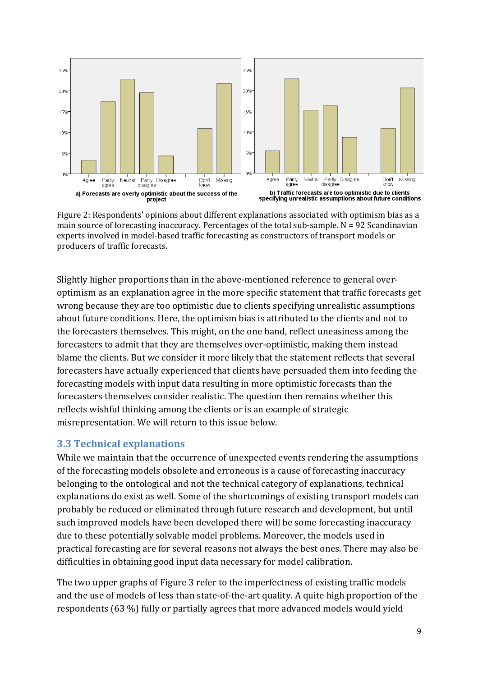

Figure 2: Respondents' opinions about different explanations associated with optimism bias as a main source of forecasting inaccuracy. Percentages of the total sub-sample.  $N = 92$  Scandinavian experts involved in model-based traffic forecasting as constructors of transport models or producers of traffic forecasts.

Slightly higher proportions than in the above-mentioned reference to general overoptimism as an explanation agree in the more specific statement that traffic forecasts get wrong because they are too optimistic due to clients specifying unrealistic assumptions about future conditions. Here, the optimism bias is attributed to the clients and not to the forecasters themselves. This might, on the one hand, reflect uneasiness among the forecasters to admit that they are themselves over-optimistic, making them instead blame the clients. But we consider it more likely that the statement reflects that several forecasters have actually experienced that clients have persuaded them into feeding the forecasting models with input data resulting in more optimistic forecasts than the forecasters themselves consider realistic. The question then remains whether this reflects wishful thinking among the clients or is an example of strategic misrepresentation. We will return to this issue below.

#### **3.3 Technical explanations**

While we maintain that the occurrence of unexpected events rendering the assumptions of the forecasting models obsolete and erroneous is a cause of forecasting inaccuracy belonging to the ontological and not the technical category of explanations, technical explanations do exist as well. Some of the shortcomings of existing transport models can probably be reduced or eliminated through future research and development, but until such improved models have been developed there will be some forecasting inaccuracy due to these potentially solvable model problems. Moreover, the models used in practical forecasting are for several reasons not always the best ones. There may also be difficulties in obtaining good input data necessary for model calibration.

The two upper graphs of Figure 3 refer to the imperfectness of existing traffic models and the use of models of less than state-of-the-art quality. A quite high proportion of the respondents (63 %) fully or partially agrees that more advanced models would yield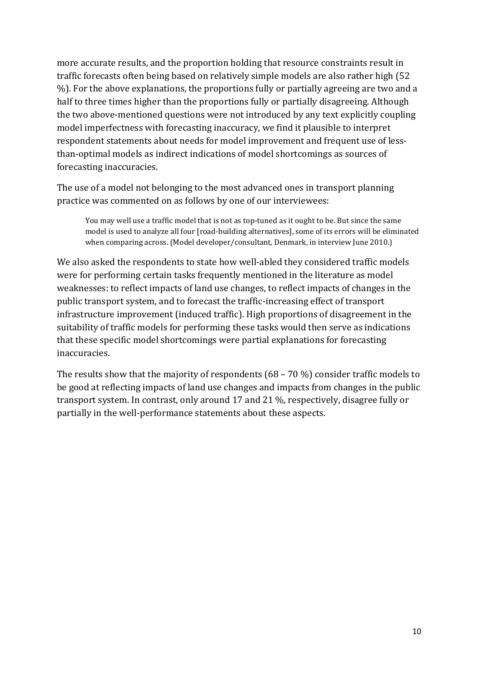more accurate results, and the proportion holding that resource constraints result in traffic forecasts often being based on relatively simple models are also rather high (52) %). For the above explanations, the proportions fully or partially agreeing are two and a half to three times higher than the proportions fully or partially disagreeing. Although the two above-mentioned questions were not introduced by any text explicitly coupling model imperfectness with forecasting inaccuracy, we find it plausible to interpret respondent statements about needs for model improvement and frequent use of lessthan-optimal models as indirect indications of model shortcomings as sources of forecasting inaccuracies.

The use of a model not belonging to the most advanced ones in transport planning practice was commented on as follows by one of our interviewees:

You may well use a traffic model that is not as top-tuned as it ought to be. But since the same model is used to analyze all four [road-building alternatives], some of its errors will be eliminated when comparing across. (Model developer/consultant, Denmark, in interview June 2010.)

We also asked the respondents to state how well-abled they considered traffic models were for performing certain tasks frequently mentioned in the literature as model weaknesses: to reflect impacts of land use changes, to reflect impacts of changes in the public transport system, and to forecast the traffic-increasing effect of transport infrastructure improvement (induced traffic). High proportions of disagreement in the suitability of traffic models for performing these tasks would then serve as indications that these specific model shortcomings were partial explanations for forecasting inaccuracies. 

The results show that the majority of respondents  $(68 - 70\%)$  consider traffic models to be good at reflecting impacts of land use changes and impacts from changes in the public transport system. In contrast, only around 17 and 21 %, respectively, disagree fully or partially in the well-performance statements about these aspects.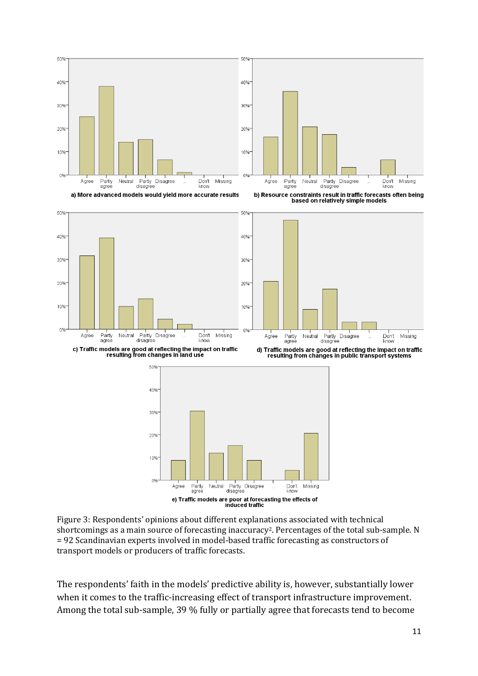





d) Traffic models are good at reflecting the impact on traffic resulting from changes in public transport systems



Figure 3: Respondents' opinions about different explanations associated with technical shortcomings as a main source of forecasting inaccuracy<sup>2</sup>. Percentages of the total sub-sample. N  $= 92$  Scandinavian experts involved in model-based traffic forecasting as constructors of transport models or producers of traffic forecasts.

The respondents' faith in the models' predictive ability is, however, substantially lower when it comes to the traffic-increasing effect of transport infrastructure improvement. Among the total sub-sample, 39 % fully or partially agree that forecasts tend to become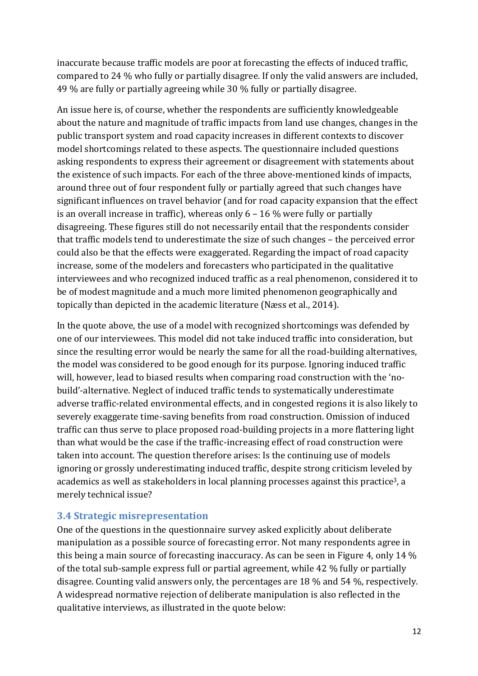inaccurate because traffic models are poor at forecasting the effects of induced traffic, compared to 24 % who fully or partially disagree. If only the valid answers are included, 49 % are fully or partially agreeing while 30 % fully or partially disagree.

An issue here is, of course, whether the respondents are sufficiently knowledgeable about the nature and magnitude of traffic impacts from land use changes, changes in the public transport system and road capacity increases in different contexts to discover model shortcomings related to these aspects. The questionnaire included questions asking respondents to express their agreement or disagreement with statements about the existence of such impacts. For each of the three above-mentioned kinds of impacts, around three out of four respondent fully or partially agreed that such changes have significant influences on travel behavior (and for road capacity expansion that the effect is an overall increase in traffic), whereas only  $6 - 16$  % were fully or partially disagreeing. These figures still do not necessarily entail that the respondents consider that traffic models tend to underestimate the size of such changes - the perceived error could also be that the effects were exaggerated. Regarding the impact of road capacity increase, some of the modelers and forecasters who participated in the qualitative interviewees and who recognized induced traffic as a real phenomenon, considered it to be of modest magnitude and a much more limited phenomenon geographically and topically than depicted in the academic literature (Næss et al., 2014).

In the quote above, the use of a model with recognized shortcomings was defended by one of our interviewees. This model did not take induced traffic into consideration, but since the resulting error would be nearly the same for all the road-building alternatives, the model was considered to be good enough for its purpose. Ignoring induced traffic will, however, lead to biased results when comparing road construction with the 'nobuild'-alternative. Neglect of induced traffic tends to systematically underestimate adverse traffic-related environmental effects, and in congested regions it is also likely to severely exaggerate time-saving benefits from road construction. Omission of induced traffic can thus serve to place proposed road-building projects in a more flattering light than what would be the case if the traffic-increasing effect of road construction were taken into account. The question therefore arises: Is the continuing use of models ignoring or grossly underestimating induced traffic, despite strong criticism leveled by academics as well as stakeholders in local planning processes against this practice<sup>3</sup>, a merely technical issue?

## **3.4 Strategic misrepresentation**

One of the questions in the questionnaire survey asked explicitly about deliberate manipulation as a possible source of forecasting error. Not many respondents agree in this being a main source of forecasting inaccuracy. As can be seen in Figure 4, only 14  $\%$ of the total sub-sample express full or partial agreement, while 42 % fully or partially disagree. Counting valid answers only, the percentages are  $18\%$  and  $54\%$ , respectively. A widespread normative rejection of deliberate manipulation is also reflected in the qualitative interviews, as illustrated in the quote below: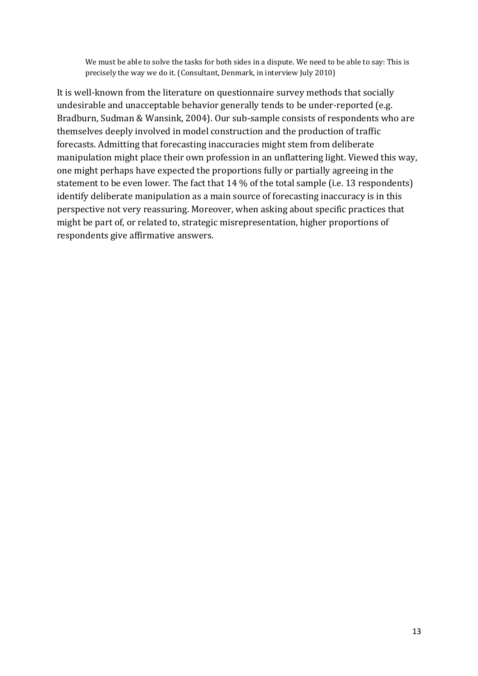We must be able to solve the tasks for both sides in a dispute. We need to be able to say: This is precisely the way we do it. (Consultant, Denmark, in interview July 2010)

It is well-known from the literature on questionnaire survey methods that socially undesirable and unacceptable behavior generally tends to be under-reported (e.g. Bradburn, Sudman & Wansink, 2004). Our sub-sample consists of respondents who are themselves deeply involved in model construction and the production of traffic forecasts. Admitting that forecasting inaccuracies might stem from deliberate manipulation might place their own profession in an unflattering light. Viewed this way, one might perhaps have expected the proportions fully or partially agreeing in the statement to be even lower. The fact that  $14\%$  of the total sample (i.e. 13 respondents) identify deliberate manipulation as a main source of forecasting inaccuracy is in this perspective not very reassuring. Moreover, when asking about specific practices that might be part of, or related to, strategic misrepresentation, higher proportions of respondents give affirmative answers.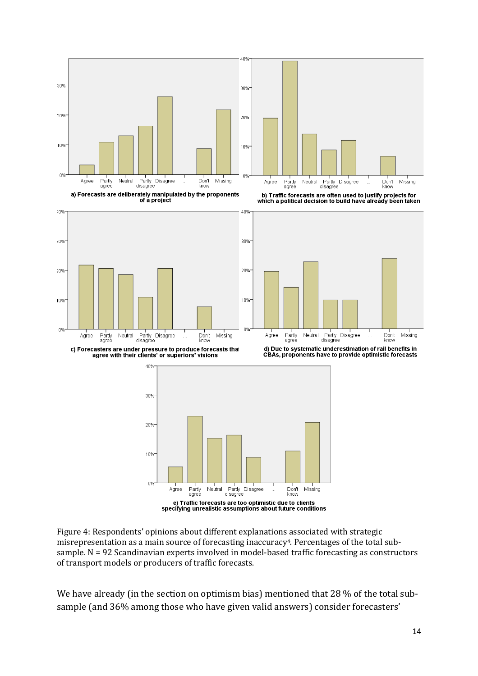



of a project

b) Traffic forecasts are often used to justify projects for<br>which a political decision to build have already been taken



c) Forecasters are under pressure to produce forecasts that<br>agree with their clients' or superiors' visions

d) Due to systematic underestimation of rail benefits in<br>CBAs, proponents have to provide optimistic forecasts



Figure 4: Respondents' opinions about different explanations associated with strategic misrepresentation as a main source of forecasting inaccuracy<sup>4</sup>. Percentages of the total subsample. N = 92 Scandinavian experts involved in model-based traffic forecasting as constructors of transport models or producers of traffic forecasts.

We have already (in the section on optimism bias) mentioned that  $28\%$  of the total subsample (and 36% among those who have given valid answers) consider forecasters'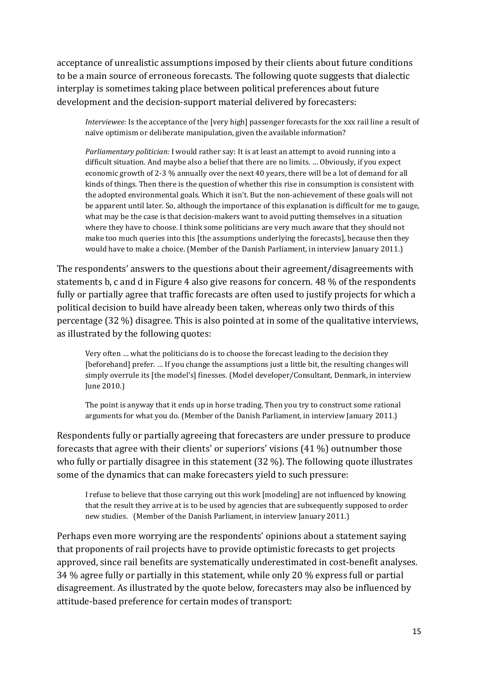acceptance of unrealistic assumptions imposed by their clients about future conditions to be a main source of erroneous forecasts. The following quote suggests that dialectic interplay is sometimes taking place between political preferences about future development and the decision-support material delivered by forecasters:

*Interviewee:* Is the acceptance of the [very high] passenger forecasts for the xxx rail line a result of naïve optimism or deliberate manipulation, given the available information?

*Parliamentary politician:* I would rather say: It is at least an attempt to avoid running into a difficult situation. And maybe also a belief that there are no limits. ... Obviously, if you expect economic growth of 2-3 % annually over the next 40 years, there will be a lot of demand for all kinds of things. Then there is the question of whether this rise in consumption is consistent with the adopted environmental goals. Which it isn't. But the non-achievement of these goals will not be apparent until later. So, although the importance of this explanation is difficult for me to gauge, what may be the case is that decision-makers want to avoid putting themselves in a situation where they have to choose. I think some politicians are very much aware that they should not make too much queries into this [the assumptions underlying the forecasts], because then they would have to make a choice. (Member of the Danish Parliament, in interview January 2011.)

The respondents' answers to the questions about their agreement/disagreements with statements b, c and d in Figure 4 also give reasons for concern. 48 % of the respondents fully or partially agree that traffic forecasts are often used to justify projects for which a political decision to build have already been taken, whereas only two thirds of this percentage  $(32\%)$  disagree. This is also pointed at in some of the qualitative interviews, as illustrated by the following quotes:

Very often ... what the politicians do is to choose the forecast leading to the decision they [beforehand] prefer. ... If you change the assumptions just a little bit, the resulting changes will simply overrule its [the model's] finesses. (Model developer/Consultant, Denmark, in interview June 2010.)

The point is anyway that it ends up in horse trading. Then you try to construct some rational arguments for what you do. (Member of the Danish Parliament, in interview January 2011.)

Respondents fully or partially agreeing that forecasters are under pressure to produce forecasts that agree with their clients' or superiors' visions  $(41\%)$  outnumber those who fully or partially disagree in this statement  $(32\%)$ . The following quote illustrates some of the dynamics that can make forecasters yield to such pressure:

I refuse to believe that those carrying out this work [modeling] are not influenced by knowing that the result they arrive at is to be used by agencies that are subsequently supposed to order new studies. (Member of the Danish Parliament, in interview January 2011.)

Perhaps even more worrying are the respondents' opinions about a statement saying that proponents of rail projects have to provide optimistic forecasts to get projects approved, since rail benefits are systematically underestimated in cost-benefit analyses. 34 % agree fully or partially in this statement, while only 20 % express full or partial disagreement. As illustrated by the quote below, forecasters may also be influenced by attitude-based preference for certain modes of transport: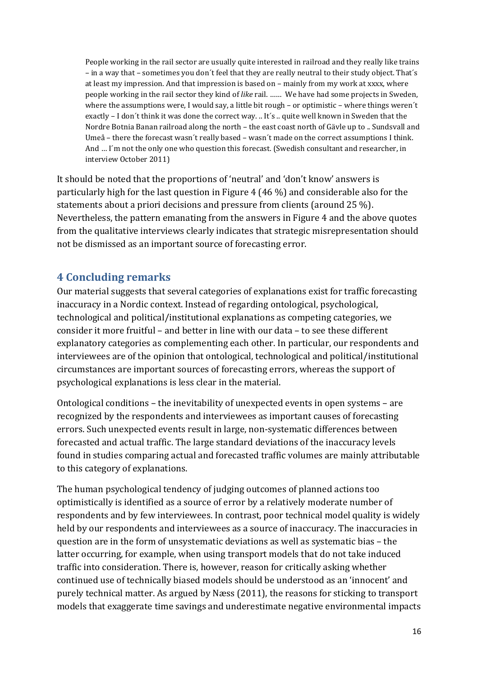People working in the rail sector are usually quite interested in railroad and they really like trains – in a way that – sometimes you don't feel that they are really neutral to their study object. That's at least my impression. And that impression is based on – mainly from my work at xxxx, where people working in the rail sector they kind of *like* rail. …… We have had some projects in Sweden, where the assumptions were, I would say, a little bit rough – or optimistic – where things weren't exactly - I don't think it was done the correct way. .. It's .. quite well known in Sweden that the Nordre Botnia Banan railroad along the north – the east coast north of Gävle up to .. Sundsvall and Umeå – there the forecast wasn't really based – wasn't made on the correct assumptions I think. And ... I'm not the only one who question this forecast. (Swedish consultant and researcher, in interview October 2011)

It should be noted that the proportions of 'neutral' and 'don't know' answers is particularly high for the last question in Figure 4 (46 %) and considerable also for the statements about a priori decisions and pressure from clients (around 25 %). Nevertheless, the pattern emanating from the answers in Figure 4 and the above quotes from the qualitative interviews clearly indicates that strategic misrepresentation should not be dismissed as an important source of forecasting error.

## **4 Concluding remarks**

Our material suggests that several categories of explanations exist for traffic forecasting inaccuracy in a Nordic context. Instead of regarding ontological, psychological, technological and political/institutional explanations as competing categories, we consider it more fruitful – and better in line with our data – to see these different explanatory categories as complementing each other. In particular, our respondents and interviewees are of the opinion that ontological, technological and political/institutional circumstances are important sources of forecasting errors, whereas the support of psychological explanations is less clear in the material.

Ontological conditions – the inevitability of unexpected events in open systems – are recognized by the respondents and interviewees as important causes of forecasting errors. Such unexpected events result in large, non-systematic differences between forecasted and actual traffic. The large standard deviations of the inaccuracy levels found in studies comparing actual and forecasted traffic volumes are mainly attributable to this category of explanations.

The human psychological tendency of judging outcomes of planned actions too optimistically is identified as a source of error by a relatively moderate number of respondents and by few interviewees. In contrast, poor technical model quality is widely held by our respondents and interviewees as a source of inaccuracy. The inaccuracies in question are in the form of unsystematic deviations as well as systematic bias  $-$  the latter occurring, for example, when using transport models that do not take induced traffic into consideration. There is, however, reason for critically asking whether continued use of technically biased models should be understood as an 'innocent' and purely technical matter. As argued by Næss (2011), the reasons for sticking to transport models that exaggerate time savings and underestimate negative environmental impacts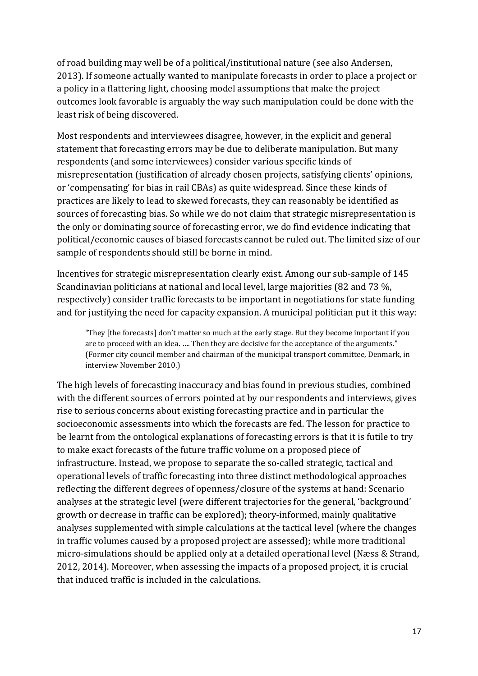of road building may well be of a political/institutional nature (see also Andersen, 2013). If someone actually wanted to manipulate forecasts in order to place a project or a policy in a flattering light, choosing model assumptions that make the project outcomes look favorable is arguably the way such manipulation could be done with the least risk of being discovered.

Most respondents and interviewees disagree, however, in the explicit and general statement that forecasting errors may be due to deliberate manipulation. But many respondents (and some interviewees) consider various specific kinds of misrepresentation (justification of already chosen projects, satisfying clients' opinions, or 'compensating' for bias in rail CBAs) as quite widespread. Since these kinds of practices are likely to lead to skewed forecasts, they can reasonably be identified as sources of forecasting bias. So while we do not claim that strategic misrepresentation is the only or dominating source of forecasting error, we do find evidence indicating that political/economic causes of biased forecasts cannot be ruled out. The limited size of our sample of respondents should still be borne in mind.

Incentives for strategic misrepresentation clearly exist. Among our sub-sample of 145 Scandinavian politicians at national and local level, large majorities (82 and 73 %, respectively) consider traffic forecasts to be important in negotiations for state funding and for justifying the need for capacity expansion. A municipal politician put it this way:

"They [the forecasts] don't matter so much at the early stage. But they become important if you are to proceed with an idea. .... Then they are decisive for the acceptance of the arguments." (Former city council member and chairman of the municipal transport committee, Denmark, in interview November 2010.)

The high levels of forecasting inaccuracy and bias found in previous studies, combined with the different sources of errors pointed at by our respondents and interviews, gives rise to serious concerns about existing forecasting practice and in particular the socioeconomic assessments into which the forecasts are fed. The lesson for practice to be learnt from the ontological explanations of forecasting errors is that it is futile to try to make exact forecasts of the future traffic volume on a proposed piece of infrastructure. Instead, we propose to separate the so-called strategic, tactical and operational levels of traffic forecasting into three distinct methodological approaches reflecting the different degrees of openness/closure of the systems at hand: Scenario analyses at the strategic level (were different trajectories for the general, 'background' growth or decrease in traffic can be explored); theory-informed, mainly qualitative analyses supplemented with simple calculations at the tactical level (where the changes in traffic volumes caused by a proposed project are assessed); while more traditional micro-simulations should be applied only at a detailed operational level (Næss & Strand, 2012, 2014). Moreover, when assessing the impacts of a proposed project, it is crucial that induced traffic is included in the calculations.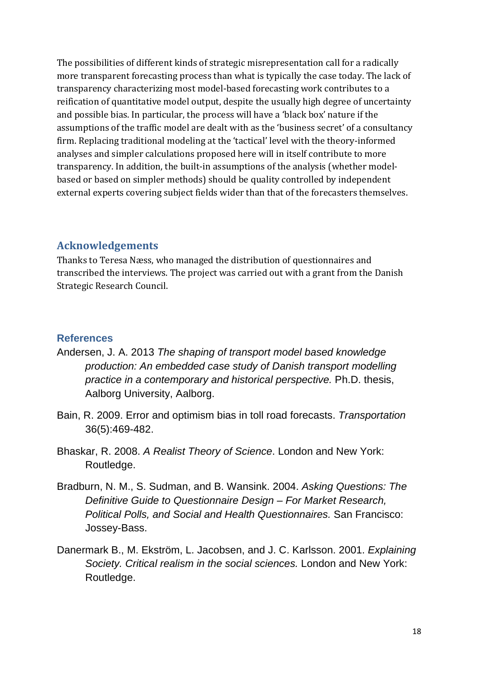The possibilities of different kinds of strategic misrepresentation call for a radically more transparent forecasting process than what is typically the case today. The lack of transparency characterizing most model-based forecasting work contributes to a reification of quantitative model output, despite the usually high degree of uncertainty and possible bias. In particular, the process will have a 'black box' nature if the assumptions of the traffic model are dealt with as the 'business secret' of a consultancy firm. Replacing traditional modeling at the 'tactical' level with the theory-informed analyses and simpler calculations proposed here will in itself contribute to more transparency. In addition, the built-in assumptions of the analysis (whether modelbased or based on simpler methods) should be quality controlled by independent external experts covering subject fields wider than that of the forecasters themselves.

## **Acknowledgements**

Thanks to Teresa Næss, who managed the distribution of questionnaires and transcribed the interviews. The project was carried out with a grant from the Danish Strategic Research Council.

#### **References**

- Andersen, J. A. 2013 The shaping of transport model based knowledge production: An embedded case study of Danish transport modelling practice in a contemporary and historical perspective. Ph.D. thesis, Aalborg University, Aalborg.
- Bain, R. 2009. Error and optimism bias in toll road forecasts. Transportation 36(5):469-482.
- Bhaskar, R. 2008. A Realist Theory of Science. London and New York: Routledge.
- Bradburn, N. M., S. Sudman, and B. Wansink. 2004. Asking Questions: The Definitive Guide to Questionnaire Design – For Market Research, Political Polls, and Social and Health Questionnaires. San Francisco: Jossey-Bass.
- Danermark B., M. Ekström, L. Jacobsen, and J. C. Karlsson. 2001. Explaining Society. Critical realism in the social sciences. London and New York: Routledge.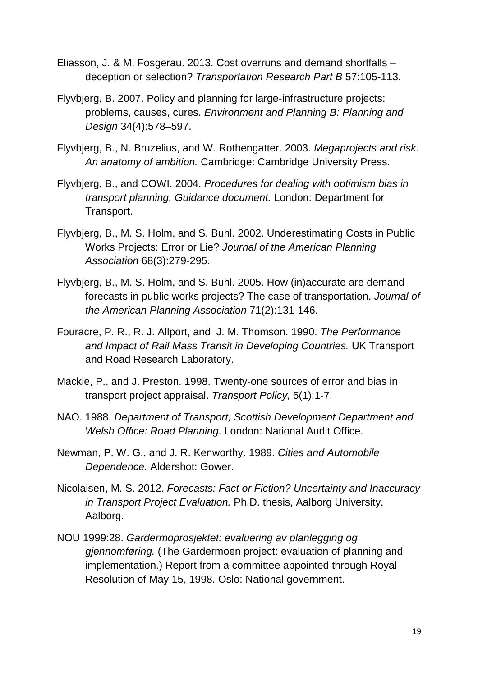- Eliasson, J. & M. Fosgerau. 2013. Cost overruns and demand shortfalls deception or selection? Transportation Research Part B 57:105-113.
- Flyvbjerg, B. 2007. Policy and planning for large-infrastructure projects: problems, causes, cures. Environment and Planning B: Planning and Design 34(4):578–597.
- Flyvbjerg, B., N. Bruzelius, and W. Rothengatter. 2003. Megaprojects and risk. An anatomy of ambition. Cambridge: Cambridge University Press.
- Flyvbjerg, B., and COWI. 2004. Procedures for dealing with optimism bias in transport planning. Guidance document. London: Department for Transport.
- Flyvbjerg, B., M. S. Holm, and S. Buhl. 2002. Underestimating Costs in Public Works Projects: Error or Lie? Journal of the American Planning Association 68(3):279-295.
- Flyvbjerg, B., M. S. Holm, and S. Buhl. 2005. How (in)accurate are demand forecasts in public works projects? The case of transportation. Journal of the American Planning Association 71(2):131-146.
- Fouracre, P. R., R. J. Allport, and J. M. Thomson. 1990. The Performance and Impact of Rail Mass Transit in Developing Countries. UK Transport and Road Research Laboratory.
- Mackie, P., and J. Preston. 1998. Twenty-one sources of error and bias in transport project appraisal. Transport Policy, 5(1):1-7.
- NAO. 1988. Department of Transport, Scottish Development Department and Welsh Office: Road Planning. London: National Audit Office.
- Newman, P. W. G., and J. R. Kenworthy. 1989. Cities and Automobile Dependence. Aldershot: Gower.
- Nicolaisen, M. S. 2012. Forecasts: Fact or Fiction? Uncertainty and Inaccuracy in Transport Project Evaluation. Ph.D. thesis, Aalborg University, Aalborg.
- NOU 1999:28. Gardermoprosjektet: evaluering av planlegging og giennomføring. (The Gardermoen project: evaluation of planning and implementation.) Report from a committee appointed through Royal Resolution of May 15, 1998. Oslo: National government.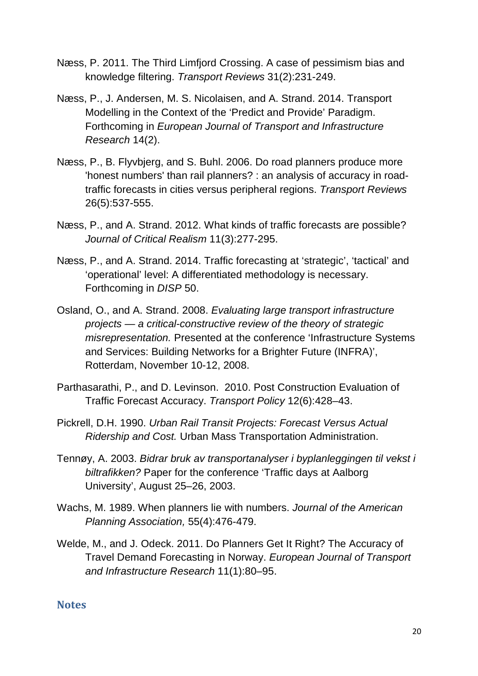- Næss, P. 2011. The Third Limfjord Crossing. A case of pessimism bias and knowledge filtering. Transport Reviews 31(2):231-249.
- Næss, P., J. Andersen, M. S. Nicolaisen, and A. Strand. 2014. Transport Modelling in the Context of the 'Predict and Provide' Paradigm. Forthcoming in European Journal of Transport and Infrastructure Research 14(2).
- Næss, P., B. Flyvbjerg, and S. Buhl. 2006. Do road planners produce more 'honest numbers' than rail planners? : an analysis of accuracy in roadtraffic forecasts in cities versus peripheral regions. Transport Reviews 26(5):537-555.
- Næss, P., and A. Strand. 2012. What kinds of traffic forecasts are possible? Journal of Critical Realism 11(3):277-295.
- Næss, P., and A. Strand. 2014. Traffic forecasting at 'strategic', 'tactical' and 'operational' level: A differentiated methodology is necessary. Forthcoming in DISP 50.
- Osland, O., and A. Strand. 2008. Evaluating large transport infrastructure projects — a critical-constructive review of the theory of strategic misrepresentation. Presented at the conference 'Infrastructure Systems and Services: Building Networks for a Brighter Future (INFRA)', Rotterdam, November 10-12, 2008.
- Parthasarathi, P., and D. Levinson. 2010. Post Construction Evaluation of Traffic Forecast Accuracy. Transport Policy 12(6):428–43.
- Pickrell, D.H. 1990. Urban Rail Transit Projects: Forecast Versus Actual Ridership and Cost. Urban Mass Transportation Administration.
- Tennøy, A. 2003. Bidrar bruk av transportanalyser i byplanleggingen til vekst i biltrafikken? Paper for the conference 'Traffic days at Aalborg University', August 25–26, 2003.
- Wachs, M. 1989. When planners lie with numbers. Journal of the American Planning Association, 55(4):476-479.
- Welde, M., and J. Odeck. 2011. Do Planners Get It Right? The Accuracy of Travel Demand Forecasting in Norway. European Journal of Transport and Infrastructure Research 11(1):80–95.

## **Notes**